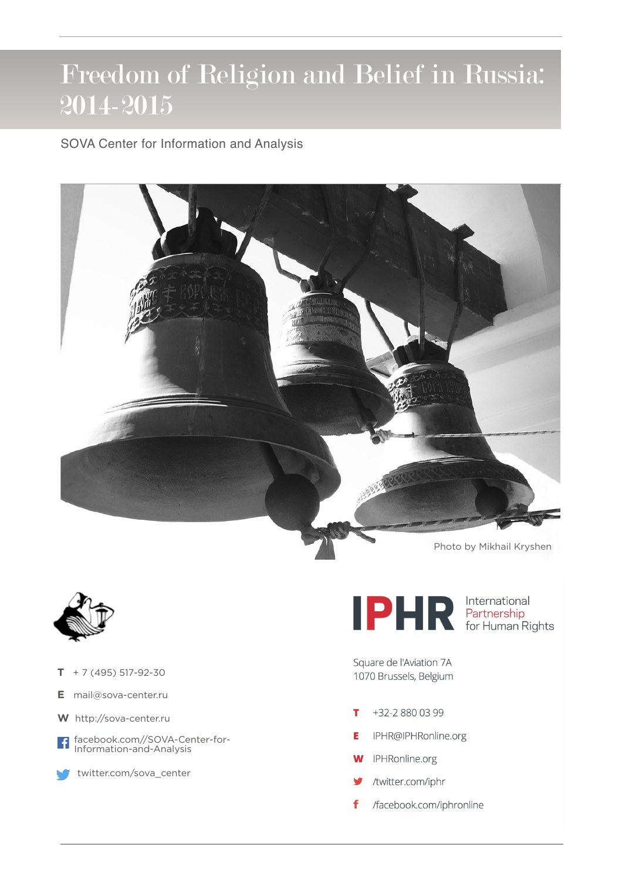## Freedom of Religion and Belief in Russia: 2014-2015

SOVA Center for Information and Analysis





- $T + 7(495) 517 92 30$
- **E** [mail@sova-center.ru](mailto:mail@sova-center.ru)
- **W** <http://sova-center.ru>
- facebook.com//SOVA-Center-for- $\overline{f}$ Information-and-Analysis



[twitter.com/sova\\_center](http://twitter.com/sova_center)

Photo by Mikhail Kryshen

**DER** Partnership<br>For Human Rights

Square de l'Aviation 7A 1070 Brussels, Belgium

- т +32-2 880 03 99
- IPHR@IPHRonline.org Ė
- IPHRonline.org W
- /twitter.com/iphr
- /facebook.com/iphronline f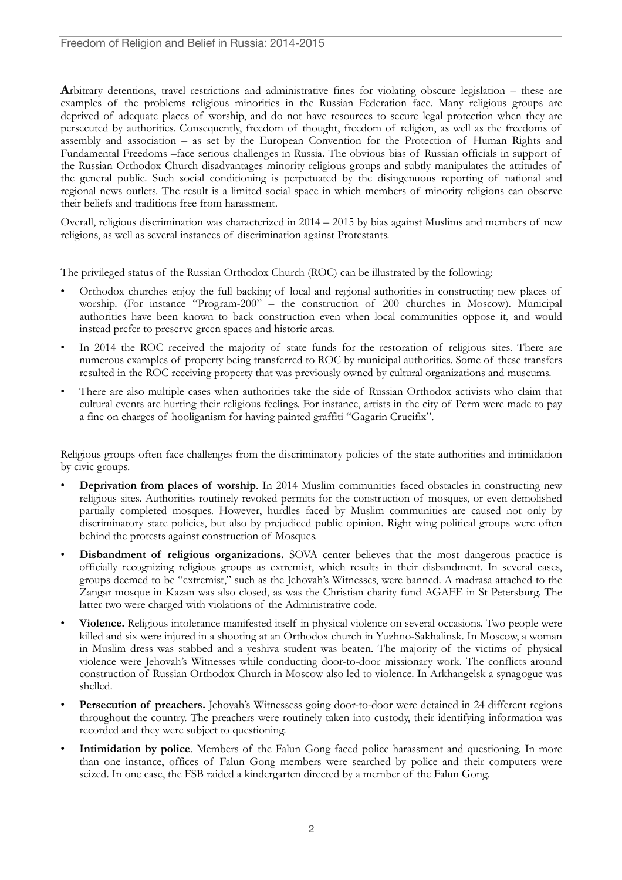**A**rbitrary detentions, travel restrictions and administrative fines for violating obscure legislation – these are examples of the problems religious minorities in the Russian Federation face. Many religious groups are deprived of adequate places of worship, and do not have resources to secure legal protection when they are persecuted by authorities. Consequently, freedom of thought, freedom of religion, as well as the freedoms of assembly and association – as set by the European Convention for the Protection of Human Rights and Fundamental Freedoms –face serious challenges in Russia. The obvious bias of Russian officials in support of the Russian Orthodox Church disadvantages minority religious groups and subtly manipulates the attitudes of the general public. Such social conditioning is perpetuated by the disingenuous reporting of national and regional news outlets. The result is a limited social space in which members of minority religions can observe their beliefs and traditions free from harassment.

Overall, religious discrimination was characterized in 2014 – 2015 by bias against Muslims and members of new religions, as well as several instances of discrimination against Protestants.

The privileged status of the Russian Orthodox Church (ROC) can be illustrated by the following:

- Orthodox churches enjoy the full backing of local and regional authorities in constructing new places of worship. (For instance "Program-200" – the construction of 200 churches in Moscow). Municipal authorities have been known to back construction even when local communities oppose it, and would instead prefer to preserve green spaces and historic areas.
- In 2014 the ROC received the majority of state funds for the restoration of religious sites. There are numerous examples of property being transferred to ROC by municipal authorities. Some of these transfers resulted in the ROC receiving property that was previously owned by cultural organizations and museums.
- There are also multiple cases when authorities take the side of Russian Orthodox activists who claim that cultural events are hurting their religious feelings. For instance, artists in the city of Perm were made to pay a fine on charges of hooliganism for having painted graffiti "Gagarin Crucifix".

Religious groups often face challenges from the discriminatory policies of the state authorities and intimidation by civic groups.

- **Deprivation from places of worship**. In 2014 Muslim communities faced obstacles in constructing new religious sites. Authorities routinely revoked permits for the construction of mosques, or even demolished partially completed mosques. However, hurdles faced by Muslim communities are caused not only by discriminatory state policies, but also by prejudiced public opinion. Right wing political groups were often behind the protests against construction of Mosques.
- **Disbandment of religious organizations.** SOVA center believes that the most dangerous practice is officially recognizing religious groups as extremist, which results in their disbandment. In several cases, groups deemed to be "extremist," such as the Jehovah's Witnesses, were banned. A madrasa attached to the Zangar mosque in Kazan was also closed, as was the Christian charity fund AGAFE in St Petersburg. The latter two were charged with violations of the Administrative code.
- **Violence.** Religious intolerance manifested itself in physical violence on several occasions. Two people were killed and six were injured in a shooting at an Orthodox church in Yuzhno-Sakhalinsk. In Moscow, a woman in Muslim dress was stabbed and a yeshiva student was beaten. The majority of the victims of physical violence were Jehovah's Witnesses while conducting door-to-door missionary work. The conflicts around construction of Russian Orthodox Church in Moscow also led to violence. In Arkhangelsk a synagogue was shelled.
- **Persecution of preachers.** Jehovah's Witnessess going door-to-door were detained in 24 different regions throughout the country. The preachers were routinely taken into custody, their identifying information was recorded and they were subject to questioning.
- **Intimidation by police**. Members of the Falun Gong faced police harassment and questioning. In more than one instance, offices of Falun Gong members were searched by police and their computers were seized. In one case, the FSB raided a kindergarten directed by a member of the Falun Gong.